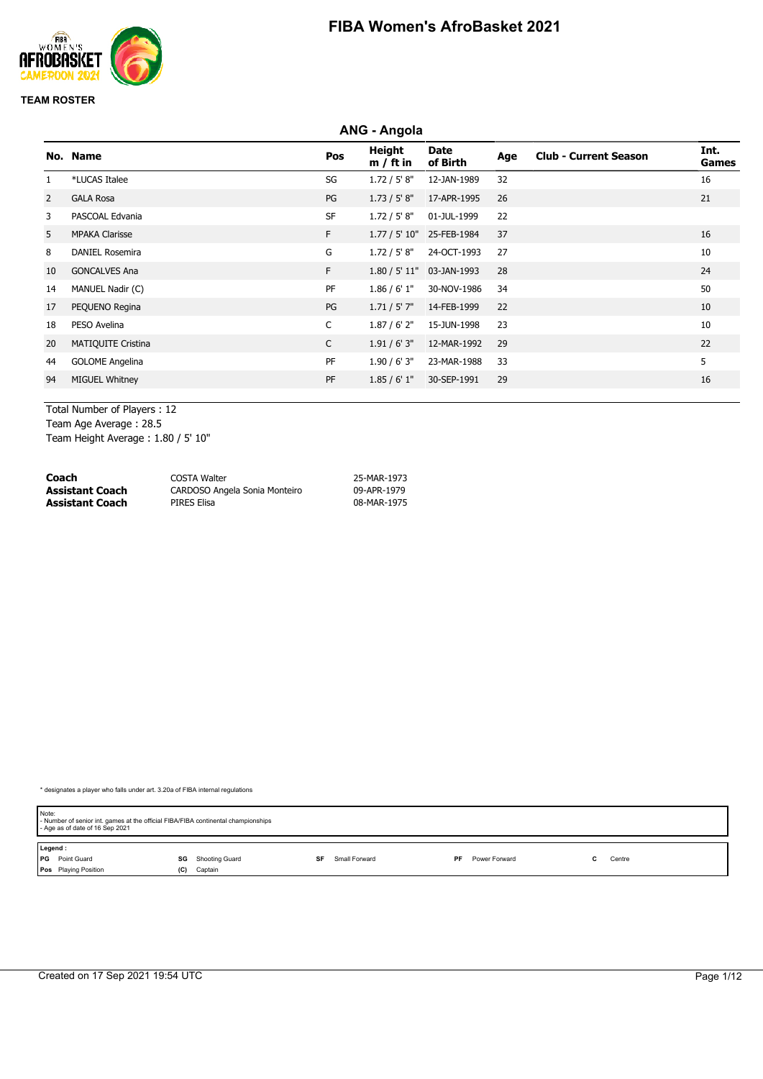

|    | <b>ANG - Angola</b>       |              |                              |                           |     |                              |               |
|----|---------------------------|--------------|------------------------------|---------------------------|-----|------------------------------|---------------|
|    | No. Name                  | Pos          | <b>Height</b><br>$m / ft$ in | <b>Date</b><br>of Birth   | Age | <b>Club - Current Season</b> | Int.<br>Games |
|    | *LUCAS Italee             | SG           | 1.72 / 5' 8''                | 12-JAN-1989               | 32  |                              | 16            |
| 2  | <b>GALA Rosa</b>          | PG           | 1.73 / 5' 8''                | 17-APR-1995               | 26  |                              | 21            |
| 3  | PASCOAL Edvania           | <b>SF</b>    | 1.72 / 5' 8''                | 01-JUL-1999               | 22  |                              |               |
| 5  | <b>MPAKA Clarisse</b>     | F.           |                              | 1.77 / 5' 10" 25-FEB-1984 | 37  |                              | 16            |
| 8  | <b>DANIEL Rosemira</b>    | G            | 1.72 / 5' 8''                | 24-OCT-1993               | 27  |                              | 10            |
| 10 | <b>GONCALVES Ana</b>      | F.           |                              | 1.80 / 5' 11" 03-JAN-1993 | 28  |                              | 24            |
| 14 | MANUEL Nadir (C)          | PF           | 1.86 / 6' 1''                | 30-NOV-1986               | 34  |                              | 50            |
| 17 | PEQUENO Regina            | PG           | $1.71 / 5'$ 7"               | 14-FEB-1999               | 22  |                              | 10            |
| 18 | PESO Avelina              | C            | $1.87/6'$ 2"                 | 15-JUN-1998               | 23  |                              | 10            |
| 20 | <b>MATIQUITE Cristina</b> | $\mathsf{C}$ | 1.91/6'3''                   | 12-MAR-1992               | 29  |                              | 22            |
| 44 | <b>GOLOME Angelina</b>    | PF           | 1.90 / 6' 3''                | 23-MAR-1988               | 33  |                              | 5             |
| 94 | <b>MIGUEL Whitney</b>     | PF           | 1.85/6'1"                    | 30-SEP-1991               | 29  |                              | 16            |

Total Number of Players : 12 Team Age Average : 28.5

Team Height Average : 1.80 / 5' 10"

| Coach                  | COSTA Walter                  | 25-MAR-1973 |
|------------------------|-------------------------------|-------------|
| <b>Assistant Coach</b> | CARDOSO Angela Sonia Monteiro | 09-APR-1979 |
| <b>Assistant Coach</b> | PIRES Elisa                   | 08-MAR-1975 |

| Note:   | - Number of senior int. games at the official FIBA/FIBA continental championships<br>- Age as of date of 16 Sep 2021 |     |                |    |               |    |               |  |        |  |
|---------|----------------------------------------------------------------------------------------------------------------------|-----|----------------|----|---------------|----|---------------|--|--------|--|
| Legend: |                                                                                                                      |     |                |    |               |    |               |  |        |  |
|         | <b>PG</b> Point Guard                                                                                                | SG  | Shooting Guard | SF | Small Forward | PF | Power Forward |  | Centre |  |
|         | Pos Playing Position                                                                                                 | (C) | Captain        |    |               |    |               |  |        |  |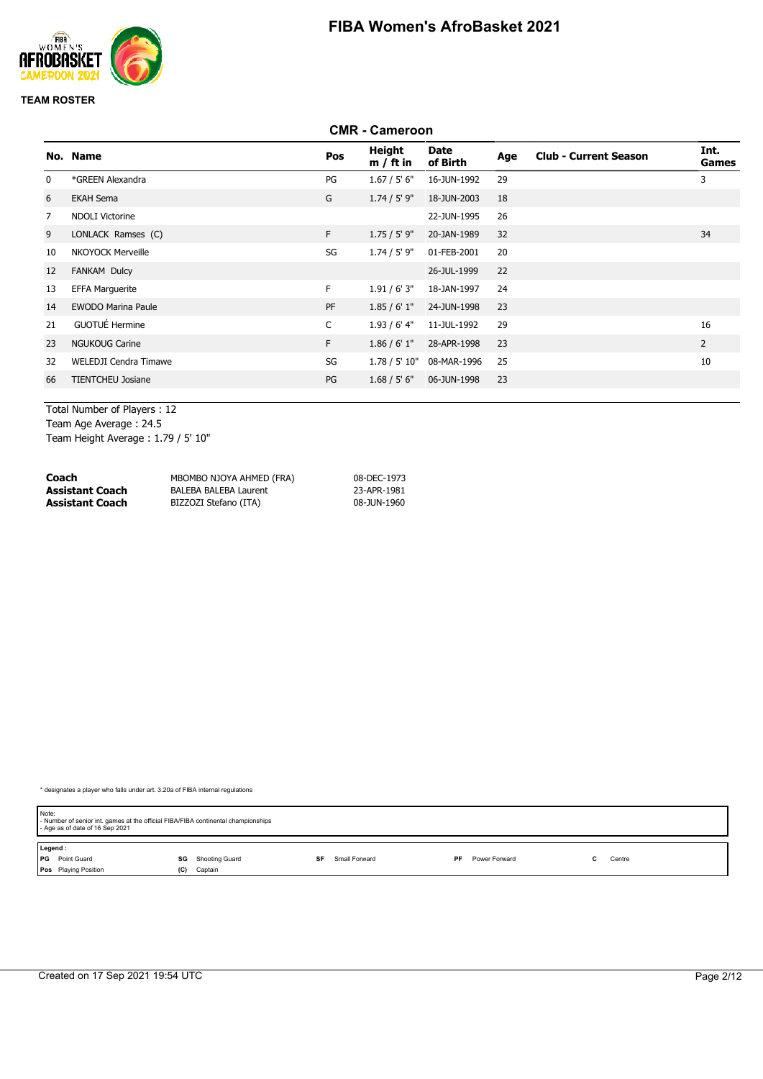

#### **CMR - Cameroon No. Name Pos Height m / ft in Date of Birth Age Club - Current Season Int. Games** 0 \*GREEN Alexandra PG 1.67 / 5' 6" 16-JUN-1992 29 3 6 EKAH Sema G 1.74 / 5' 9" 18-JUN-2003 18 7 NDOLI Victorine 22-JUN-1995 26 9 LONLACK Ramses (C) 6 1.75 / 5' 9" 20-JAN-1989 32 10 NKOYOCK Merveille **SG 1.74 / 5' 9"** 01-FEB-2001 20 12 FANKAM Dulcy 26-JUL-1999 22 13 EFFA Marguerite F 1.91 / 6' 3" 18-JAN-1997 24 14 EWODO Marina Paule PF 1.85 / 6' 1" 24-JUN-1998 23 21 GUOTUÉ Hermine 2000 1.93 / 6' 4" 2000 1.93 / 6' 4" 2000 1.93 / 6' 4" 2000 1.93 / 6' 4" 2000 1.93 / 6' 4" 20 23 NGUKOUG Carine F 1.86 / 6' 1" 28-APR-1998 23 2 32 WELEDJI Cendra Timawe 10 10 SG 1.78 / 5' 10" 08-MAR-1996 25 66 TIENTCHEU Josiane PG 1.68 / 5' 6" 06-JUN-1998 23

Total Number of Players : 12 Team Age Average : 24.5 Team Height Average : 1.79 / 5' 10"

| Coach                  | MBOMBO NJOYA AHMED (FRA)     | 08-DEC-1973 |
|------------------------|------------------------------|-------------|
| <b>Assistant Coach</b> | <b>BALEBA BALEBA Laurent</b> | 23-APR-1981 |
| <b>Assistant Coach</b> | BIZZOZI Stefano (ITA)        | 08-JUN-1960 |

| Note:<br>- Number of senior int. games at the official FIBA/FIBA continental championships<br>- Age as of date of 16 Sep 2021 |                      |                     |                     |        |  |  |  |
|-------------------------------------------------------------------------------------------------------------------------------|----------------------|---------------------|---------------------|--------|--|--|--|
| Legend:                                                                                                                       |                      |                     |                     |        |  |  |  |
| <b>PG</b> Point Guard                                                                                                         | Shooting Guard<br>SG | Small Forward<br>SF | Power Forward<br>PF | Centre |  |  |  |
| <b>Pos</b> Playing Position                                                                                                   | Captain<br>(C)       |                     |                     |        |  |  |  |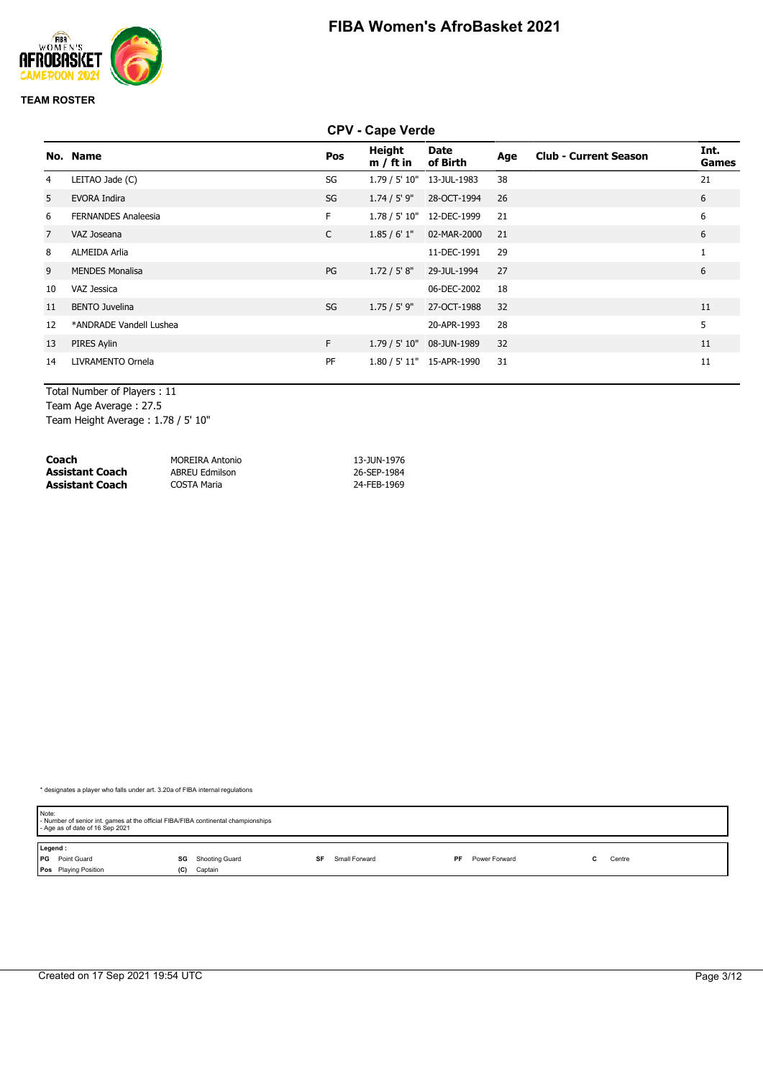

#### **CPV - Cape Verde**

|                | No. Name                   | Pos          | Height<br>$m / ft$ in | Date<br>of Birth          | Age | <b>Club - Current Season</b> | Int.<br>Games |
|----------------|----------------------------|--------------|-----------------------|---------------------------|-----|------------------------------|---------------|
| 4              | LEITAO Jade (C)            | SG           |                       | 1.79 / 5' 10" 13-JUL-1983 | 38  |                              | 21            |
| 5              | <b>EVORA Indira</b>        | SG           | $1.74 / 5'$ 9"        | 28-OCT-1994               | 26  |                              | 6             |
| 6              | <b>FERNANDES Analeesia</b> | F.           |                       | 1.78 / 5' 10" 12-DEC-1999 | 21  |                              | 6             |
| $\overline{7}$ | VAZ Joseana                | $\mathsf{C}$ | 1.85/6'1"             | 02-MAR-2000               | 21  |                              | 6             |
| 8              | <b>ALMEIDA Arlia</b>       |              |                       | 11-DEC-1991               | 29  |                              |               |
| 9              | <b>MENDES Monalisa</b>     | PG           | 1.72 / 5' 8''         | 29-JUL-1994               | 27  |                              | 6             |
| 10             | VAZ Jessica                |              |                       | 06-DEC-2002               | 18  |                              |               |
| 11             | <b>BENTO Juvelina</b>      | SG           | $1.75 / 5'$ 9"        | 27-OCT-1988               | 32  |                              | 11            |
| 12             | *ANDRADE Vandell Lushea    |              |                       | 20-APR-1993               | 28  |                              | 5             |
| 13             | PIRES Aylin                | F            | 1.79 / 5' 10"         | 08-JUN-1989               | 32  |                              | 11            |
| 14             | LIVRAMENTO Ornela          | PF           |                       | 1.80 / 5' 11" 15-APR-1990 | 31  |                              | 11            |

Total Number of Players : 11

Team Age Average : 27.5

Team Height Average : 1.78 / 5' 10"

| Coach           | MOREIRA Antonio       | 13-JUN-1976 |
|-----------------|-----------------------|-------------|
| Assistant Coach | <b>ABREU Edmilson</b> | 26-SEP-1984 |
| Assistant Coach | COSTA Maria           | 24-FEB-1969 |

| Note:   | - Number of senior int. games at the official FIBA/FIBA continental championships<br>- Age as of date of 16 Sep 2021 |     |                |    |               |    |               |  |        |  |
|---------|----------------------------------------------------------------------------------------------------------------------|-----|----------------|----|---------------|----|---------------|--|--------|--|
| Legend: |                                                                                                                      |     |                |    |               |    |               |  |        |  |
|         | <b>PG</b> Point Guard                                                                                                | SG  | Shooting Guard | SF | Small Forward | PF | Power Forward |  | Centre |  |
|         | Pos Playing Position                                                                                                 | (C) | Captain        |    |               |    |               |  |        |  |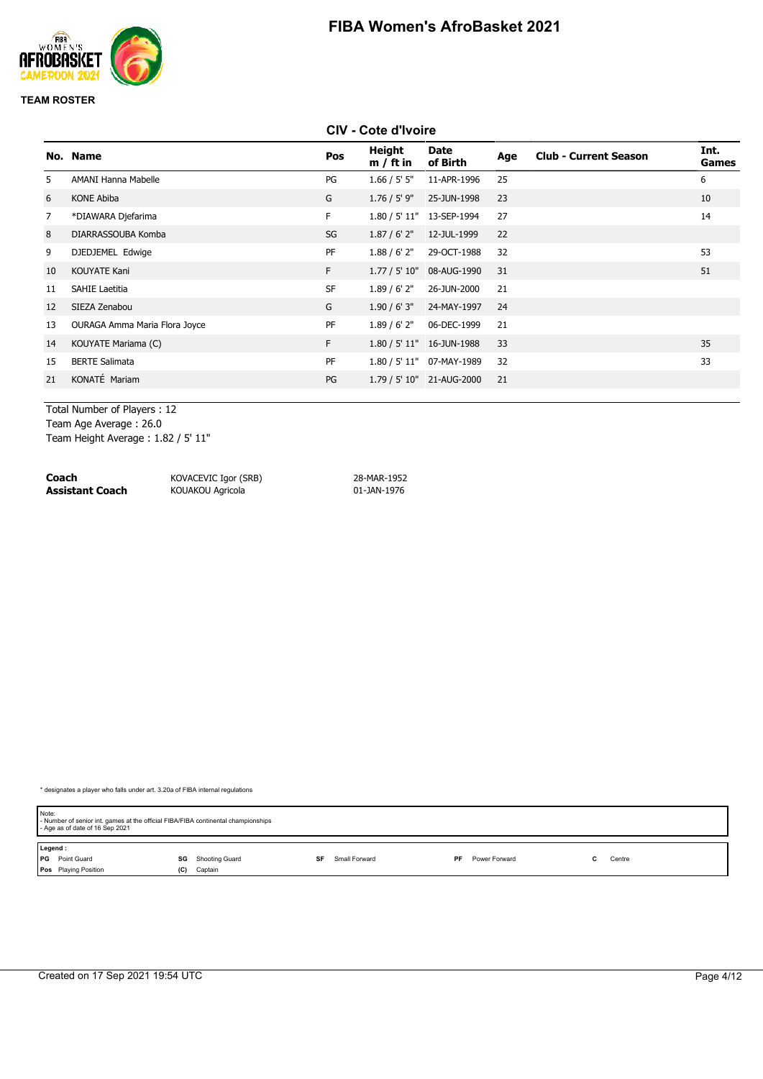

#### **CIV - Cote d'Ivoire**

|                | No. Name                      | Pos       | Height<br>$m / ft$ in | Date<br>of Birth          | Age | <b>Club - Current Season</b> | Int.<br>Games |
|----------------|-------------------------------|-----------|-----------------------|---------------------------|-----|------------------------------|---------------|
| 5.             | AMANI Hanna Mabelle           | PG        | 1.66 / 5' 5''         | 11-APR-1996               | 25  |                              | 6             |
| 6              | <b>KONE Abiba</b>             | G         | $1.76 / 5'$ 9"        | 25-JUN-1998               | 23  |                              | 10            |
| $\overline{7}$ | *DIAWARA Djefarima            | F.        |                       | 1.80 / 5' 11" 13-SEP-1994 | 27  |                              | 14            |
| 8              | DIARRASSOUBA Komba            | SG        | 1.87 / 6' 2''         | 12-JUL-1999               | 22  |                              |               |
| 9              | DJEDJEMEL Edwige              | PF        | 1.88 / 6' 2''         | 29-OCT-1988               | 32  |                              | 53            |
| 10             | <b>KOUYATE Kani</b>           | F         |                       | 1.77 / 5' 10" 08-AUG-1990 | 31  |                              | 51            |
| 11             | <b>SAHIE Laetitia</b>         | <b>SF</b> | 1.89/6'2"             | 26-JUN-2000               | 21  |                              |               |
| 12             | SIEZA Zenabou                 | G         | 1.90/6'3''            | 24-MAY-1997               | 24  |                              |               |
| 13             | OURAGA Amma Maria Flora Joyce | PF        | 1.89/6'2"             | 06-DEC-1999               | 21  |                              |               |
| 14             | KOUYATE Mariama (C)           | F         |                       | 1.80 / 5' 11" 16-JUN-1988 | 33  |                              | 35            |
| 15             | <b>BERTE Salimata</b>         | PF        |                       | 1.80 / 5' 11" 07-MAY-1989 | 32  |                              | 33            |
| 21             | KONATÉ Mariam                 | PG        |                       | 1.79 / 5' 10" 21-AUG-2000 | 21  |                              |               |
|                |                               |           |                       |                           |     |                              |               |

Total Number of Players : 12 Team Age Average : 26.0 Team Height Average : 1.82 / 5' 11"

**Coach** KOVACEVIC Igor (SRB) 28-MAR-1952

**KOUAKOU Agricola** 

| Note:   | - Number of senior int. games at the official FIBA/FIBA continental championships<br>- Age as of date of 16 Sep 2021 |     |                |    |               |    |               |  |        |  |
|---------|----------------------------------------------------------------------------------------------------------------------|-----|----------------|----|---------------|----|---------------|--|--------|--|
| Legend: |                                                                                                                      |     |                |    |               |    |               |  |        |  |
|         | <b>PG</b> Point Guard                                                                                                | SG  | Shooting Guard | SF | Small Forward | PF | Power Forward |  | Centre |  |
|         | <b>Pos</b> Playing Position                                                                                          | (C) | Captain        |    |               |    |               |  |        |  |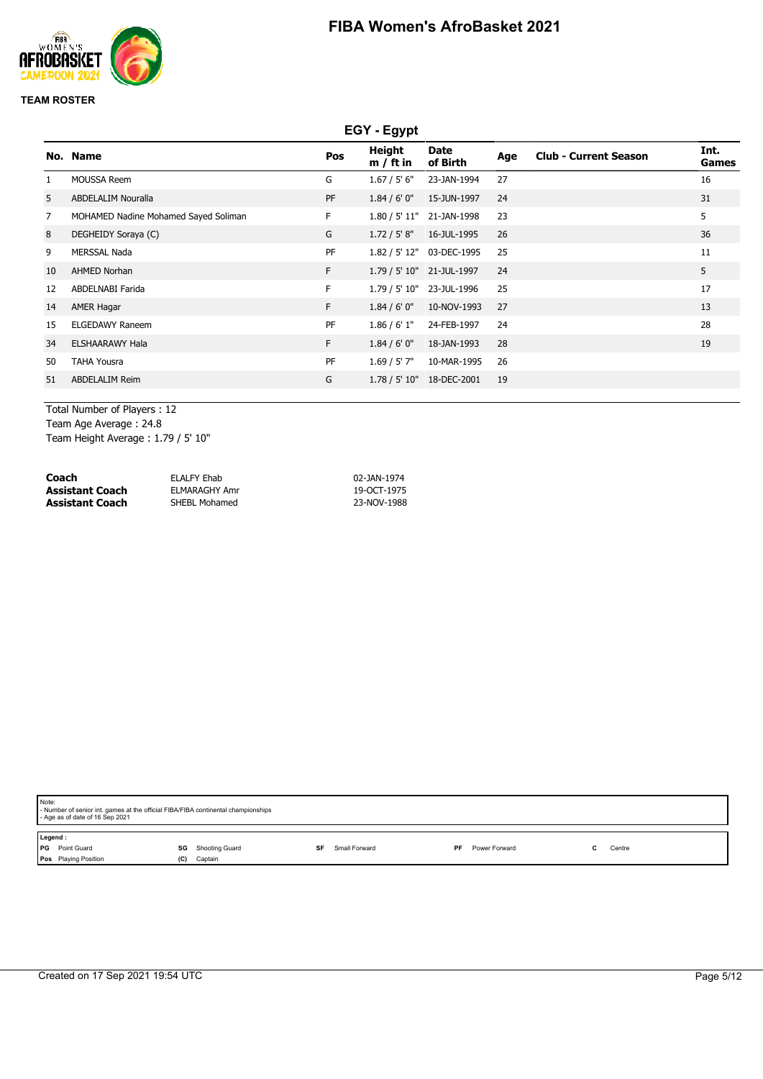

|    | EGY - Egypt                          |     |                              |                           |     |                              |                      |
|----|--------------------------------------|-----|------------------------------|---------------------------|-----|------------------------------|----------------------|
|    | No. Name                             | Pos | <b>Height</b><br>$m / ft$ in | <b>Date</b><br>of Birth   | Age | <b>Club - Current Season</b> | Int.<br><b>Games</b> |
|    | <b>MOUSSA Reem</b>                   | G   | 1.67 / 5' 6''                | 23-JAN-1994               | 27  |                              | 16                   |
| 5  | <b>ABDELALIM Nouralla</b>            | PF  | 1.84 / 6' 0''                | 15-JUN-1997               | 24  |                              | 31                   |
| 7  | MOHAMED Nadine Mohamed Sayed Soliman | F.  | 1.80 / 5' 11"                | 21-JAN-1998               | 23  |                              | 5                    |
| 8  | DEGHEIDY Soraya (C)                  | G   | 1.72 / 5' 8''                | 16-JUL-1995               | 26  |                              | 36                   |
| 9  | <b>MERSSAL Nada</b>                  | PF  |                              | 1.82 / 5' 12" 03-DEC-1995 | 25  |                              | 11                   |
| 10 | <b>AHMED Norhan</b>                  | F.  |                              | 1.79 / 5' 10" 21-JUL-1997 | 24  |                              | 5                    |
| 12 | ABDELNABI Farida                     | F.  |                              | 1.79 / 5' 10" 23-JUL-1996 | 25  |                              | 17                   |
| 14 | <b>AMER Hagar</b>                    | F.  | 1.84/6'0''                   | 10-NOV-1993               | 27  |                              | 13                   |
| 15 | <b>ELGEDAWY Raneem</b>               | PF  | 1.86 / 6' 1''                | 24-FEB-1997               | 24  |                              | 28                   |
| 34 | <b>ELSHAARAWY Hala</b>               | F.  | 1.84/6'0''                   | 18-JAN-1993               | 28  |                              | 19                   |
| 50 | <b>TAHA Yousra</b>                   | PF  | $1.69 / 5'$ 7"               | 10-MAR-1995               | 26  |                              |                      |
| 51 | <b>ABDELALIM Reim</b>                | G   | 1.78 / 5' 10"                | 18-DEC-2001               | 19  |                              |                      |
|    |                                      |     |                              |                           |     |                              |                      |

Total Number of Players : 12 Team Age Average : 24.8 Team Height Average : 1.79 / 5' 10"

| Coach           | ELALFY Ehab   | 02-JAN-1974 |
|-----------------|---------------|-------------|
| Assistant Coach | ELMARAGHY Amr | 19-OCT-1975 |
| Assistant Coach | SHEBL Mohamed | 23-NOV-1988 |

| Note:<br>- Age as of date of 16 Sep 2021                      | - Number of senior int. games at the official FIBA/FIBA continental championships |               |                     |        |  |  |  |  |
|---------------------------------------------------------------|-----------------------------------------------------------------------------------|---------------|---------------------|--------|--|--|--|--|
| Legend:<br><b>I</b> PG<br>Point Guard<br>Pos Playing Position | <b>SG</b> Shooting Guard<br>Captain<br>(C)                                        | Small Forward | Power Forward<br>PF | Centre |  |  |  |  |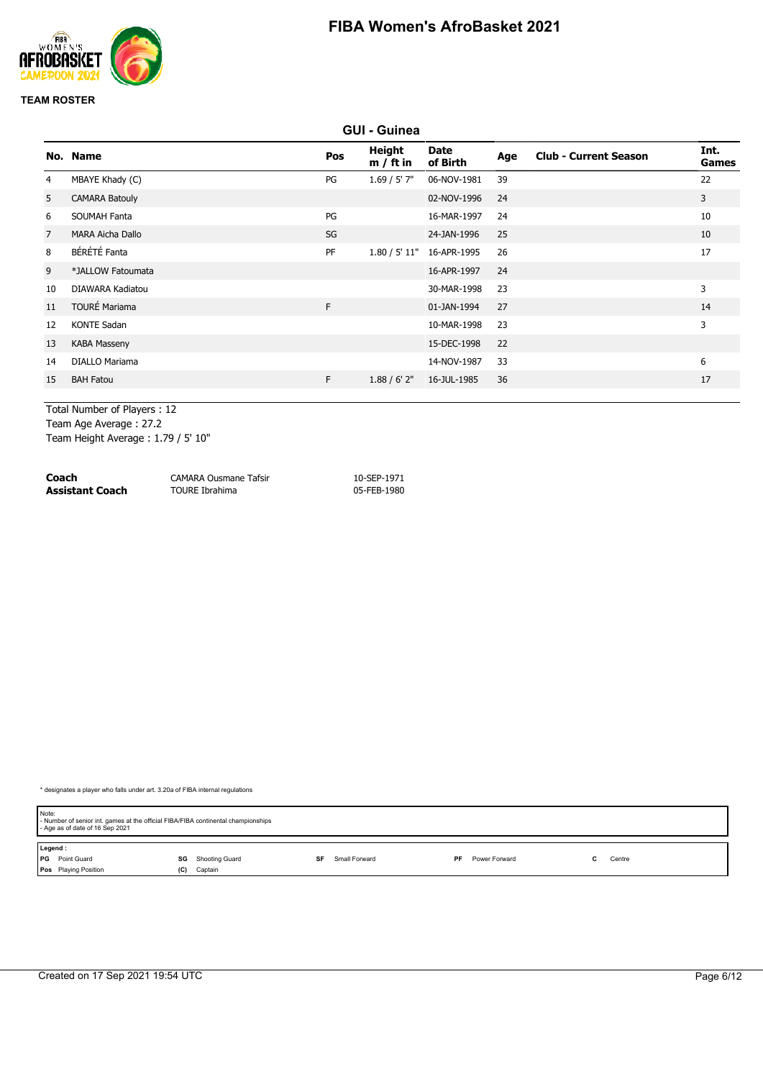

|    | <b>GUI - Guinea</b>   |     |                              |                         |     |                              |                      |
|----|-----------------------|-----|------------------------------|-------------------------|-----|------------------------------|----------------------|
|    | No. Name              | Pos | <b>Height</b><br>$m / ft$ in | <b>Date</b><br>of Birth | Age | <b>Club - Current Season</b> | Int.<br><b>Games</b> |
| 4  | MBAYE Khady (C)       | PG  | 1.69 / 5' 7''                | 06-NOV-1981             | 39  |                              | 22                   |
| 5  | <b>CAMARA Batouly</b> |     |                              | 02-NOV-1996             | 24  |                              | 3                    |
| 6  | <b>SOUMAH Fanta</b>   | PG  |                              | 16-MAR-1997             | 24  |                              | 10                   |
| 7  | MARA Aicha Dallo      | SG  |                              | 24-JAN-1996             | 25  |                              | 10                   |
| 8  | BÉRÉTÉ Fanta          | PF  | 1.80 / 5' 11"                | 16-APR-1995             | 26  |                              | 17                   |
| 9  | *JALLOW Fatoumata     |     |                              | 16-APR-1997             | 24  |                              |                      |
| 10 | DIAWARA Kadiatou      |     |                              | 30-MAR-1998             | 23  |                              | $\overline{3}$       |
| 11 | <b>TOURÉ Mariama</b>  | F.  |                              | 01-JAN-1994             | 27  |                              | 14                   |
| 12 | <b>KONTE Sadan</b>    |     |                              | 10-MAR-1998             | 23  |                              | 3                    |
| 13 | <b>KABA Masseny</b>   |     |                              | 15-DEC-1998             | 22  |                              |                      |
| 14 | <b>DIALLO Mariama</b> |     |                              | 14-NOV-1987             | 33  |                              | 6                    |
| 15 | <b>BAH Fatou</b>      | F.  | 1.88 / 6' 2''                | 16-JUL-1985             | 36  |                              | 17                   |
|    |                       |     |                              |                         |     |                              |                      |

Total Number of Players : 12 Team Age Average : 27.2

Team Height Average : 1.79 / 5' 10"

| Coach           | <b>CAMARA Ousmane Tafsir</b> | 10-SEP-1971 |
|-----------------|------------------------------|-------------|
| Assistant Coach | TOURE Ibrahima               | 05-FEB-1980 |

| Note:   | - Number of senior int. games at the official FIBA/FIBA continental championships<br>- Age as of date of 16 Sep 2021 |     |                |    |               |    |               |        |  |
|---------|----------------------------------------------------------------------------------------------------------------------|-----|----------------|----|---------------|----|---------------|--------|--|
| Legend: |                                                                                                                      |     |                |    |               |    |               |        |  |
|         | <b>PG</b> Point Guard                                                                                                | SG  | Shooting Guard | SF | Small Forward | PF | Power Forward | Centre |  |
|         | <b>Pos</b> Playing Position                                                                                          | (C) | Captain        |    |               |    |               |        |  |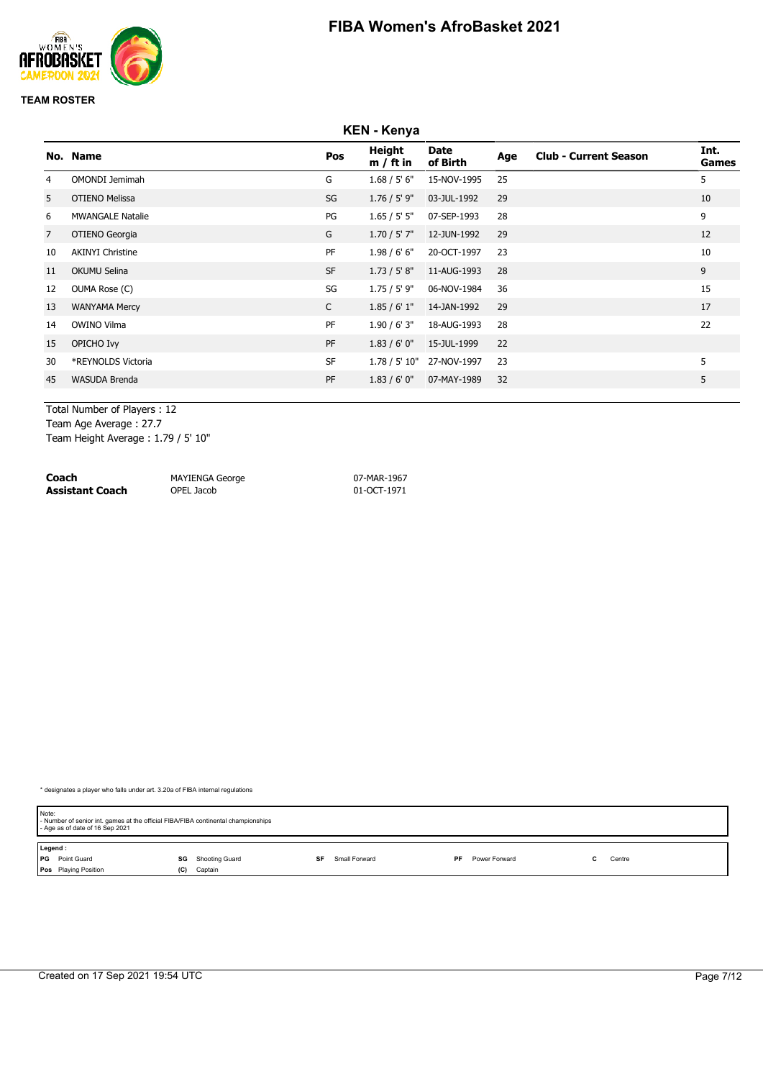

|                | <b>KEN - Kenya</b>      |              |                       |                         |     |                              |                      |
|----------------|-------------------------|--------------|-----------------------|-------------------------|-----|------------------------------|----------------------|
|                | No. Name                | Pos          | Height<br>$m / ft$ in | <b>Date</b><br>of Birth | Age | <b>Club - Current Season</b> | Int.<br><b>Games</b> |
| 4              | <b>OMONDI Jemimah</b>   | G            | 1.68 / 5' 6''         | 15-NOV-1995             | 25  |                              | 5                    |
| 5              | <b>OTIENO Melissa</b>   | SG           | $1.76 / 5'$ 9"        | 03-JUL-1992             | 29  |                              | 10                   |
| 6              | <b>MWANGALE Natalie</b> | PG           | 1.65 / 5' 5''         | 07-SEP-1993             | 28  |                              | 9                    |
| $\overline{7}$ | OTIENO Georgia          | G            | $1.70 / 5'$ 7"        | 12-JUN-1992             | 29  |                              | 12                   |
| 10             | <b>AKINYI Christine</b> | PF           | 1.98 / 6' 6''         | 20-OCT-1997             | 23  |                              | 10                   |
| 11             | <b>OKUMU Selina</b>     | <b>SF</b>    | 1.73 / 5' 8''         | 11-AUG-1993             | 28  |                              | 9                    |
| 12             | OUMA Rose (C)           | SG           | $1.75 / 5'$ 9"        | 06-NOV-1984             | 36  |                              | 15                   |
| 13             | <b>WANYAMA Mercy</b>    | $\mathsf{C}$ | 1.85/6'1"             | 14-JAN-1992             | 29  |                              | 17                   |
| 14             | <b>OWINO Vilma</b>      | PF           | 1.90/6'3''            | 18-AUG-1993             | 28  |                              | 22                   |
| 15             | OPICHO Ivy              | <b>PF</b>    | 1.83/6'0''            | 15-JUL-1999             | 22  |                              |                      |
| 30             | *REYNOLDS Victoria      | <b>SF</b>    | 1.78 / 5' 10"         | 27-NOV-1997             | 23  |                              | 5                    |
| 45             | WASUDA Brenda           | PF           | 1.83/6'0''            | 07-MAY-1989             | 32  |                              | 5                    |
|                |                         |              |                       |                         |     |                              |                      |

Total Number of Players : 12 Team Age Average : 27.7

Team Height Average : 1.79 / 5' 10"

| Coach                  | <b>MAYIENGA George</b> | 07-MAR-1967 |
|------------------------|------------------------|-------------|
| <b>Assistant Coach</b> | OPEL Jacob             | 01-OCT-1971 |

| Note:   | - Number of senior int. games at the official FIBA/FIBA continental championships<br>- Age as of date of 16 Sep 2021 |     |                |    |               |     |               |        |  |
|---------|----------------------------------------------------------------------------------------------------------------------|-----|----------------|----|---------------|-----|---------------|--------|--|
| Legend: |                                                                                                                      |     |                |    |               |     |               |        |  |
|         | <b>PG</b> Point Guard                                                                                                | SG  | Shooting Guard | SF | Small Forward | PF. | Power Forward | Centre |  |
|         | <b>Pos</b> Playing Position                                                                                          | (C) | Captain        |    |               |     |               |        |  |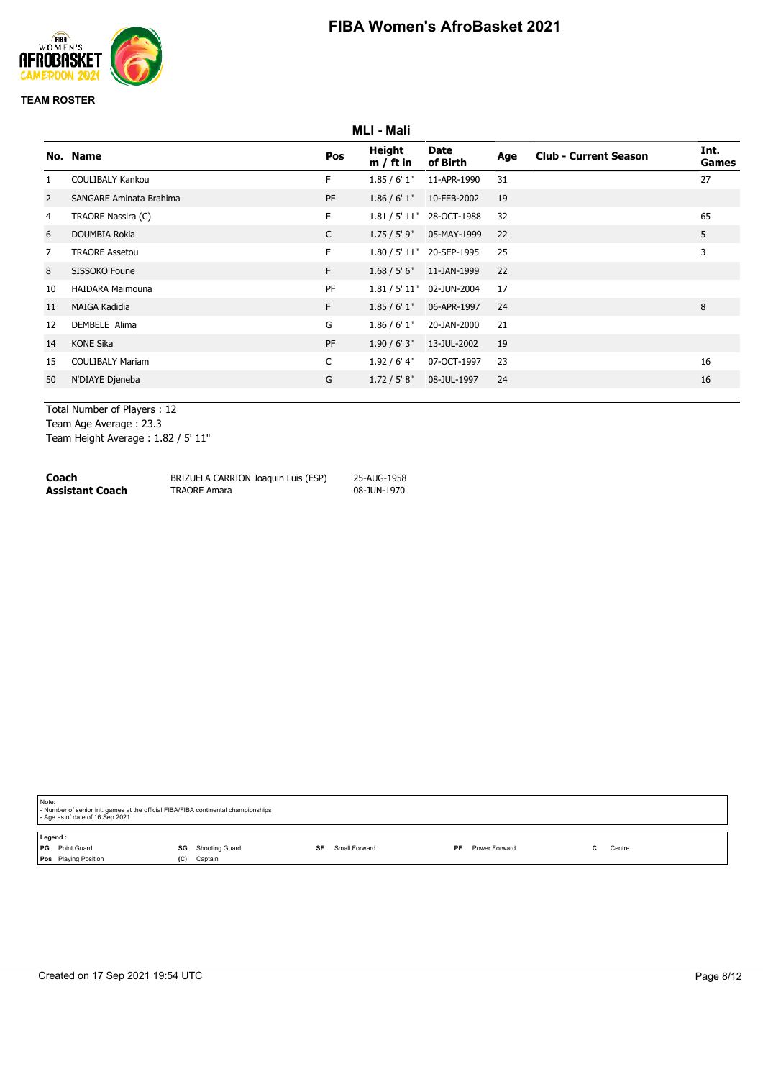

|                | <b>MLI - Mali</b>              |              |                       |                           |     |                              |               |
|----------------|--------------------------------|--------------|-----------------------|---------------------------|-----|------------------------------|---------------|
|                | No. Name                       | Pos          | Height<br>$m / ft$ in | Date<br>of Birth          | Age | <b>Club - Current Season</b> | Int.<br>Games |
|                | <b>COULIBALY Kankou</b>        | F.           | 1.85/6'1"             | 11-APR-1990               | 31  |                              | 27            |
| $\overline{2}$ | <b>SANGARE Aminata Brahima</b> | PF           | 1.86 / 6' 1''         | 10-FEB-2002               | 19  |                              |               |
| 4              | TRAORE Nassira (C)             | F.           |                       | 1.81 / 5' 11" 28-OCT-1988 | 32  |                              | 65            |
| 6              | DOUMBIA Rokia                  | $\mathsf{C}$ | $1.75/5'$ 9"          | 05-MAY-1999               | 22  |                              | 5             |
| 7              | <b>TRAORE Assetou</b>          | F.           |                       | 1.80 / 5' 11" 20-SEP-1995 | 25  |                              | 3             |
| 8              | SISSOKO Foune                  | F            | 1.68 / 5' 6''         | 11-JAN-1999               | 22  |                              |               |
| 10             | <b>HAIDARA Maimouna</b>        | PF           | 1.81 / 5' 11"         | 02-JUN-2004               | 17  |                              |               |
| 11             | <b>MAIGA Kadidia</b>           | F.           | 1.85/6'1"             | 06-APR-1997               | 24  |                              | 8             |
| 12             | DEMBELE Alima                  | G            | 1.86 / 6' 1''         | 20-JAN-2000               | 21  |                              |               |
| 14             | <b>KONE Sika</b>               | PF           | 1.90/6'3''            | 13-JUL-2002               | 19  |                              |               |
| 15             | <b>COULIBALY Mariam</b>        | C            | $1.92/6'$ 4"          | 07-OCT-1997               | 23  |                              | 16            |
| 50             | N'DIAYE Djeneba                | G            | 1.72 / 5' 8''         | 08-JUL-1997               | 24  |                              | 16            |
|                |                                |              |                       |                           |     |                              |               |

Total Number of Players : 12 Team Age Average : 23.3

Team Height Average : 1.82 / 5' 11"

| Coach           | BRIZUELA CARRION Joaquin Luis (ESP) | 25-AUG-1958 |
|-----------------|-------------------------------------|-------------|
| Assistant Coach | <b>TRAORE Amara</b>                 | 08-JUN-1970 |

| Note:<br>- Age as of date of 16 Sep 2021                       | - Number of senior int. games at the official FIBA/FIBA continental championships |    |               |    |               |  |        |  |
|----------------------------------------------------------------|-----------------------------------------------------------------------------------|----|---------------|----|---------------|--|--------|--|
| Legend:<br>PG Point Guard<br>SG<br>Pos Playing Position<br>(C) | Shooting Guard<br>Captain                                                         | SF | Small Forward | PF | Power Forward |  | Centre |  |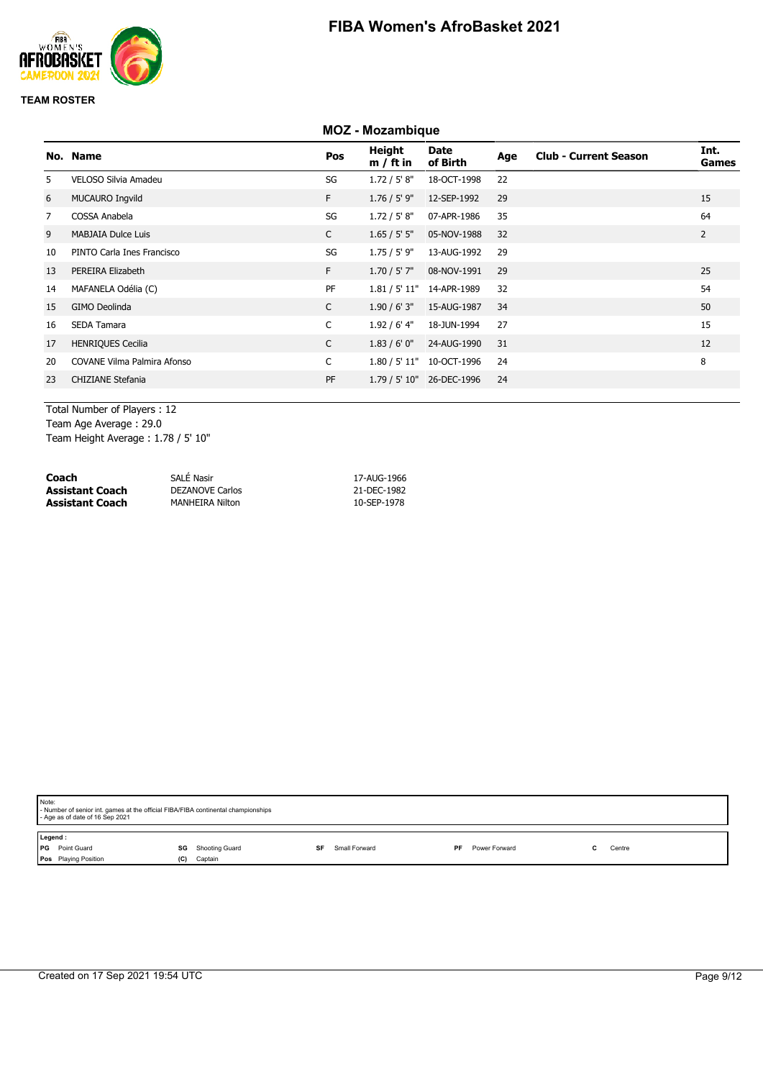

#### **MOZ - Mozambique**

|                | No. Name                           | Pos          | Height<br>$m / ft$ in | Date<br>of Birth          | Age | <b>Club - Current Season</b> | Int.<br>Games  |
|----------------|------------------------------------|--------------|-----------------------|---------------------------|-----|------------------------------|----------------|
| 5.             | VELOSO Silvia Amadeu               | SG           | 1.72 / 5' 8''         | 18-OCT-1998               | 22  |                              |                |
| 6              | MUCAURO Ingvild                    | F            | $1.76 / 5'$ 9"        | 12-SEP-1992               | 29  |                              | 15             |
| $\overline{7}$ | COSSA Anabela                      | SG           | 1.72 / 5' 8''         | 07-APR-1986               | 35  |                              | 64             |
| 9              | <b>MABJAIA Dulce Luis</b>          | $\mathsf{C}$ | 1.65 / 5' 5''         | 05-NOV-1988               | 32  |                              | $\overline{2}$ |
| 10             | PINTO Carla Ines Francisco         | SG           | 1.75 / 5' 9"          | 13-AUG-1992               | 29  |                              |                |
| 13             | PEREIRA Elizabeth                  | F            | $1.70 / 5'$ 7"        | 08-NOV-1991               | 29  |                              | 25             |
| 14             | MAFANELA Odélia (C)                | PF           |                       | 1.81 / 5' 11" 14-APR-1989 | 32  |                              | 54             |
| 15             | GIMO Deolinda                      | $\mathsf{C}$ | 1.90 / 6' 3''         | 15-AUG-1987               | 34  |                              | 50             |
| 16             | <b>SEDA Tamara</b>                 | $\mathsf{C}$ | $1.92/6'$ 4"          | 18-JUN-1994               | 27  |                              | 15             |
| 17             | <b>HENRIQUES Cecilia</b>           | $\mathsf{C}$ | 1.83/6'0''            | 24-AUG-1990               | 31  |                              | 12             |
| 20             | <b>COVANE Vilma Palmira Afonso</b> | $\mathsf{C}$ |                       | 1.80 / 5' 11" 10-OCT-1996 | 24  |                              | 8              |
| 23             | <b>CHIZIANE Stefania</b>           | PF           |                       | 1.79 / 5' 10" 26-DEC-1996 | 24  |                              |                |
|                |                                    |              |                       |                           |     |                              |                |

Total Number of Players : 12 Team Age Average : 29.0 Team Height Average : 1.78 / 5' 10"

| Coach           | SALÉ Nasir             | 17-AUG-1966 |
|-----------------|------------------------|-------------|
| Assistant Coach | <b>DEZANOVE Carlos</b> | 21-DEC-1982 |
| Assistant Coach | <b>MANHEIRA Nilton</b> | 10-SEP-1978 |

| Note:<br>- Number of senior int. games at the official FIBA/FIBA continental championships<br>- Age as of date of 16 Sep 2021 |                                            |    |               |                            |    |        |  |  |  |  |
|-------------------------------------------------------------------------------------------------------------------------------|--------------------------------------------|----|---------------|----------------------------|----|--------|--|--|--|--|
| Legend:<br><b>PG</b> Point Guard<br>Pos Playing Position                                                                      | <b>SG</b> Shooting Guard<br>Captain<br>(C) | SF | Small Forward | Power Forward<br><b>PF</b> | C. | Centre |  |  |  |  |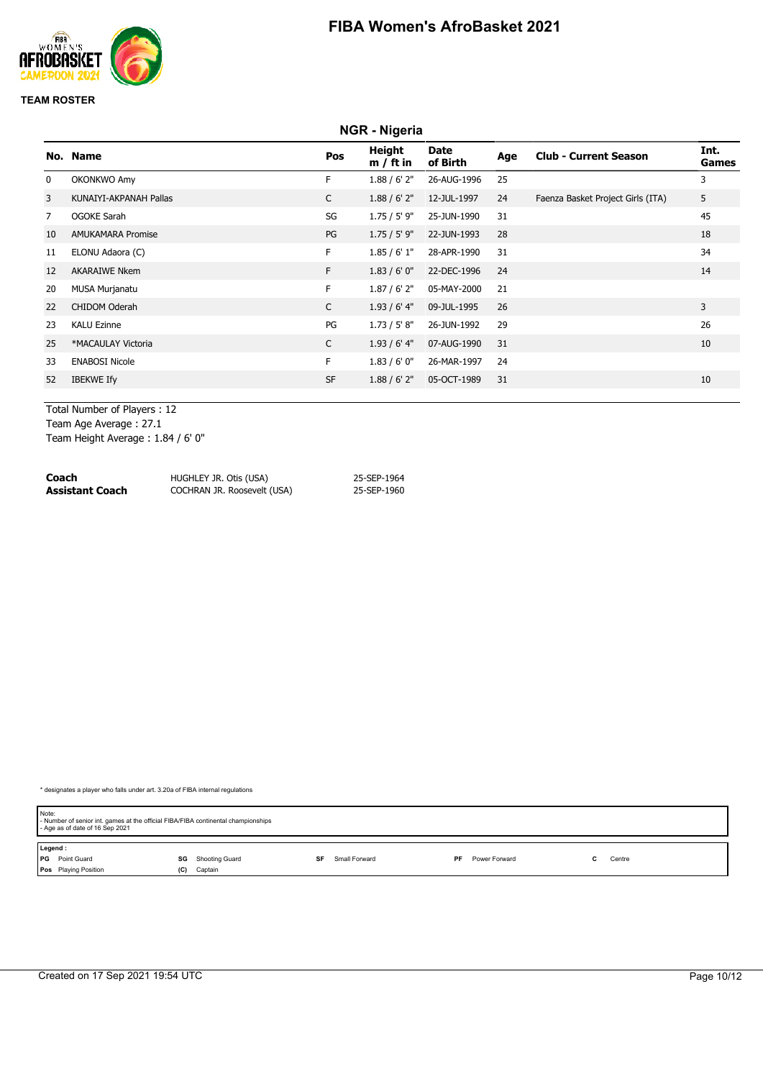

|    | NGR - Nigeria            |              |                       |                         |     |                                   |               |  |  |  |
|----|--------------------------|--------------|-----------------------|-------------------------|-----|-----------------------------------|---------------|--|--|--|
|    | No. Name                 | Pos          | Height<br>$m / ft$ in | <b>Date</b><br>of Birth | Age | <b>Club - Current Season</b>      | Int.<br>Games |  |  |  |
| 0  | OKONKWO Amy              | F.           | 1.88 / 6' 2''         | 26-AUG-1996             | 25  |                                   | 3             |  |  |  |
| 3  | KUNAIYI-AKPANAH Pallas   | C            | 1.88 / 6' 2''         | 12-JUL-1997             | 24  | Faenza Basket Project Girls (ITA) | 5             |  |  |  |
| 7  | <b>OGOKE Sarah</b>       | SG           | $1.75 / 5'$ 9"        | 25-JUN-1990             | 31  |                                   | 45            |  |  |  |
| 10 | <b>AMUKAMARA Promise</b> | PG           | $1.75 / 5'$ 9"        | 22-JUN-1993             | 28  |                                   | 18            |  |  |  |
| 11 | ELONU Adaora (C)         | F.           | 1.85/6'1"             | 28-APR-1990             | 31  |                                   | 34            |  |  |  |
| 12 | <b>AKARAIWE Nkem</b>     | F.           | 1.83/6'0''            | 22-DEC-1996             | 24  |                                   | 14            |  |  |  |
| 20 | MUSA Murjanatu           | F.           | $1.87/6'$ 2"          | 05-MAY-2000             | 21  |                                   |               |  |  |  |
| 22 | CHIDOM Oderah            | $\mathsf{C}$ | $1.93/6'$ 4"          | 09-JUL-1995             | 26  |                                   | 3             |  |  |  |
| 23 | <b>KALU Ezinne</b>       | PG           | 1.73 / 5' 8''         | 26-JUN-1992             | 29  |                                   | 26            |  |  |  |
| 25 | *MACAULAY Victoria       | $\mathsf{C}$ | $1.93/6'$ 4"          | 07-AUG-1990             | 31  |                                   | 10            |  |  |  |
| 33 | <b>ENABOSI Nicole</b>    | F.           | 1.83/6'0''            | 26-MAR-1997             | 24  |                                   |               |  |  |  |
| 52 | <b>IBEKWE Ify</b>        | <b>SF</b>    | 1.88 / 6' 2''         | 05-OCT-1989             | 31  |                                   | 10            |  |  |  |
|    |                          |              |                       |                         |     |                                   |               |  |  |  |

Total Number of Players : 12 Team Age Average : 27.1

Team Height Average : 1.84 / 6' 0"

| Coach           | HUGHLEY JR. Otis (USA)      | 25-SEP-1964 |
|-----------------|-----------------------------|-------------|
| Assistant Coach | COCHRAN JR. Roosevelt (USA) | 25-SEP-1960 |

| Note:   | - Number of senior int. games at the official FIBA/FIBA continental championships<br>- Age as of date of 16 Sep 2021 |     |                |    |               |    |               |  |        |  |
|---------|----------------------------------------------------------------------------------------------------------------------|-----|----------------|----|---------------|----|---------------|--|--------|--|
| Legend: |                                                                                                                      |     |                |    |               |    |               |  |        |  |
|         | <b>PG</b> Point Guard                                                                                                | SG  | Shooting Guard | SF | Small Forward | PF | Power Forward |  | Centre |  |
|         | Pos Playing Position                                                                                                 | (C) | Captain        |    |               |    |               |  |        |  |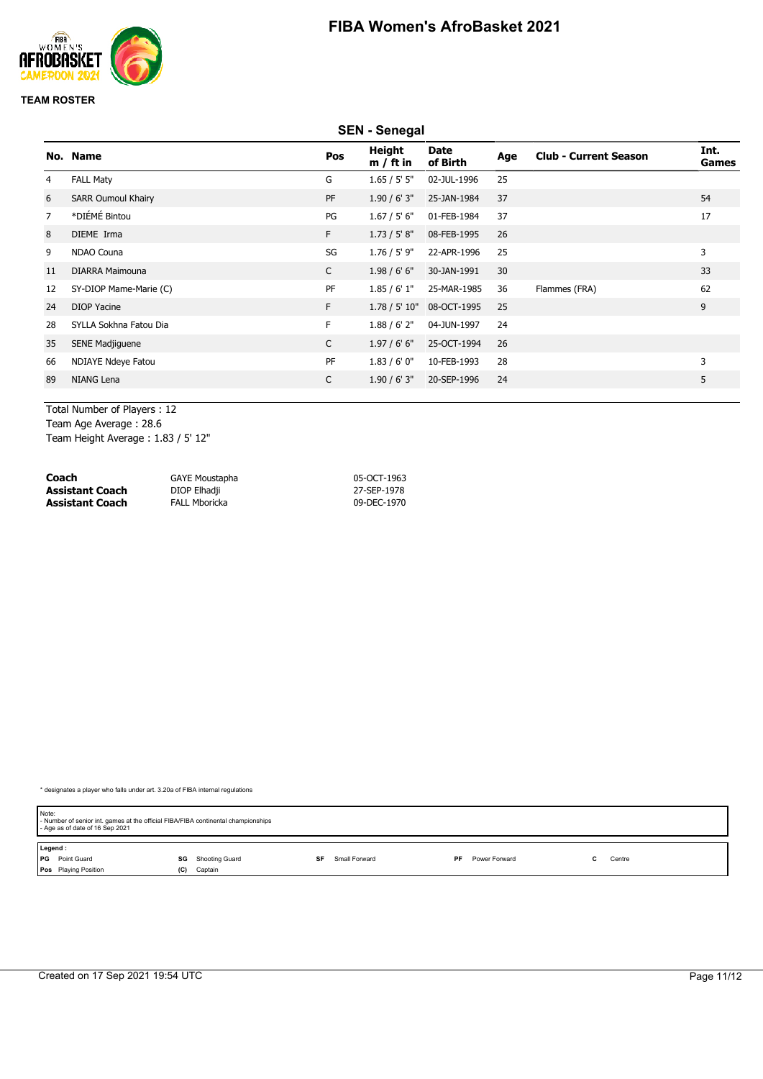

|    | <b>SEN - Senegal</b>      |              |                       |                         |     |                              |               |  |  |  |
|----|---------------------------|--------------|-----------------------|-------------------------|-----|------------------------------|---------------|--|--|--|
|    | No. Name                  | Pos          | Height<br>$m / ft$ in | <b>Date</b><br>of Birth | Age | <b>Club - Current Season</b> | Int.<br>Games |  |  |  |
| 4  | <b>FALL Maty</b>          | G            | 1.65 / 5' 5''         | 02-JUL-1996             | 25  |                              |               |  |  |  |
| 6  | <b>SARR Oumoul Khairy</b> | PF           | 1.90 / 6' 3''         | 25-JAN-1984             | 37  |                              | 54            |  |  |  |
| 7  | *DIÉMÉ Bintou             | PG           | 1.67 / 5' 6"          | 01-FEB-1984             | 37  |                              | 17            |  |  |  |
| 8  | DIEME Irma                | F.           | 1.73 / 5' 8''         | 08-FEB-1995             | 26  |                              |               |  |  |  |
| 9  | NDAO Couna                | SG           | $1.76 / 5'$ 9"        | 22-APR-1996             | 25  |                              | 3             |  |  |  |
| 11 | <b>DIARRA Maimouna</b>    | $\mathsf{C}$ | 1.98/6'6''            | 30-JAN-1991             | 30  |                              | 33            |  |  |  |
| 12 | SY-DIOP Mame-Marie (C)    | PF           | 1.85/6'1"             | 25-MAR-1985             | 36  | Flammes (FRA)                | 62            |  |  |  |
| 24 | <b>DIOP Yacine</b>        | F.           | 1.78 / 5' 10"         | 08-OCT-1995             | 25  |                              | 9             |  |  |  |
| 28 | SYLLA Sokhna Fatou Dia    | F.           | 1.88 / 6' 2''         | 04-JUN-1997             | 24  |                              |               |  |  |  |
| 35 | SENE Madjiguene           | $\mathsf{C}$ | 1.97/6'6''            | 25-OCT-1994             | 26  |                              |               |  |  |  |
| 66 | NDIAYE Ndeye Fatou        | PF           | 1.83/6'0''            | 10-FEB-1993             | 28  |                              | 3             |  |  |  |
| 89 | NIANG Lena                | C            | 1.90 / 6' 3''         | 20-SEP-1996             | 24  |                              | 5             |  |  |  |
|    |                           |              |                       |                         |     |                              |               |  |  |  |

Total Number of Players : 12 Team Age Average : 28.6 Team Height Average : 1.83 / 5' 12"

| Coach                  | <b>GAYE Moustapha</b> | 05-OCT-1963 |
|------------------------|-----------------------|-------------|
| <b>Assistant Coach</b> | DIOP Elhadji          | 27-SEP-1978 |
| <b>Assistant Coach</b> | <b>FALL Mboricka</b>  | 09-DEC-1970 |

| Note:   | - Number of senior int. games at the official FIBA/FIBA continental championships<br>- Age as of date of 16 Sep 2021 |     |                |    |               |    |               |  |        |  |
|---------|----------------------------------------------------------------------------------------------------------------------|-----|----------------|----|---------------|----|---------------|--|--------|--|
| Legend: |                                                                                                                      |     |                |    |               |    |               |  |        |  |
|         | <b>PG</b> Point Guard                                                                                                | SG  | Shooting Guard | SF | Small Forward | PF | Power Forward |  | Centre |  |
|         | <b>Pos</b> Playing Position                                                                                          | (C) | Captain        |    |               |    |               |  |        |  |